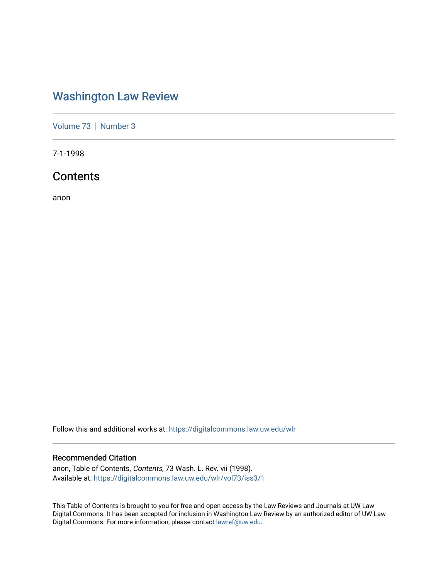### [Washington Law Review](https://digitalcommons.law.uw.edu/wlr)

[Volume 73](https://digitalcommons.law.uw.edu/wlr/vol73) | [Number 3](https://digitalcommons.law.uw.edu/wlr/vol73/iss3)

7-1-1998

### **Contents**

anon

Follow this and additional works at: [https://digitalcommons.law.uw.edu/wlr](https://digitalcommons.law.uw.edu/wlr?utm_source=digitalcommons.law.uw.edu%2Fwlr%2Fvol73%2Fiss3%2F1&utm_medium=PDF&utm_campaign=PDFCoverPages)

#### Recommended Citation

anon, Table of Contents, Contents, 73 Wash. L. Rev. vii (1998). Available at: [https://digitalcommons.law.uw.edu/wlr/vol73/iss3/1](https://digitalcommons.law.uw.edu/wlr/vol73/iss3/1?utm_source=digitalcommons.law.uw.edu%2Fwlr%2Fvol73%2Fiss3%2F1&utm_medium=PDF&utm_campaign=PDFCoverPages)

This Table of Contents is brought to you for free and open access by the Law Reviews and Journals at UW Law Digital Commons. It has been accepted for inclusion in Washington Law Review by an authorized editor of UW Law Digital Commons. For more information, please contact [lawref@uw.edu.](mailto:lawref@uw.edu)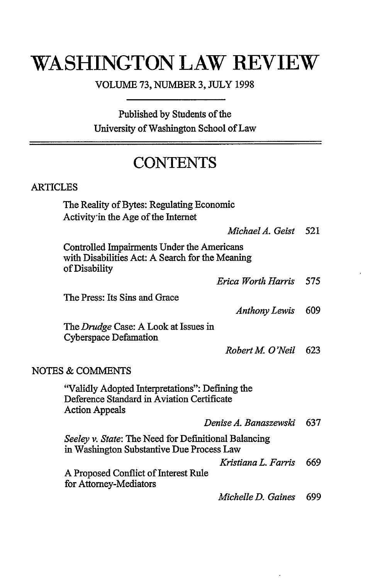# **WASHINGTON LAW REVIEW**

VOLUME 73, NUMBER 3, JULY 1998

Published **by** Students of the University of Washington School of Law

## **CONTENTS**

### ARTICLES

The Reality of Bytes: Regulating Economic Activity'in the Age of the Internet

*Michael A. Geist 521*

Controlled Impairments Under the Americans with Disabilities Act: A Search for the Meaning of Disability

*Erica Worth Harris 575*

The Press: Its Sins and Grace

*Anthony Lewis* 609

The *Drudge* Case: A Look at Issues in Cyberspace Defamation

*Robert M. O'Neil* 623

#### NOTES & COMMENTS

"Validly Adopted Interpretations": Defining the Deference Standard in Aviation Certificate Action Appeals

|  | Denise A. Banaszewski 637 |  |
|--|---------------------------|--|
|--|---------------------------|--|

*Seeley v. State:* The Need for Definitional Balancing in Washington Substantive Due Process Law

*Kristiana L. Farris* 669

A Proposed Conflict of Interest Rule for Attorney-Mediators

*Michelle D. Gaines* 699